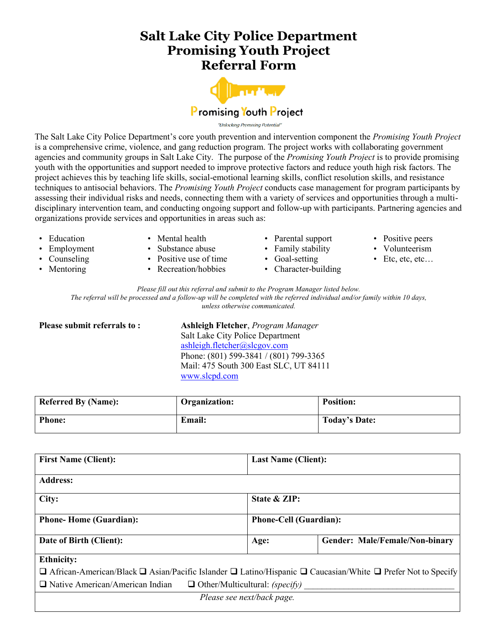## **Salt Lake City Police Department Promising Youth Project Referral Form**



"Unlocking Promising Potential

The Salt Lake City Police Department's core youth prevention and intervention component the *Promising Youth Project* is a comprehensive crime, violence, and gang reduction program. The project works with collaborating government agencies and community groups in Salt Lake City. The purpose of the *Promising Youth Project* is to provide promising youth with the opportunities and support needed to improve protective factors and reduce youth high risk factors. The project achieves this by teaching life skills, social-emotional learning skills, conflict resolution skills, and resistance techniques to antisocial behaviors. The *Promising Youth Project* conducts case management for program participants by assessing their individual risks and needs, connecting them with a variety of services and opportunities through a multidisciplinary intervention team, and conducting ongoing support and follow-up with participants. Partnering agencies and organizations provide services and opportunities in areas such as:

- **Education**
- **Employment**
- **Counseling**
- Mentoring
- Mental health
- Substance abuse
- Positive use of time
- Recreation/hobbies
- Parental support
- Family stability
- Goal-setting
- Character-building
- Positive peers
- Volunteerism
- Etc, etc, etc…

*Please fill out this referral and submit to the Program Manager listed below.*

The referral will be processed and a follow-up will be completed with the referred individual and/or family within 10 days, *unless otherwise communicated.*

**Please submit referrals to : Ashleigh Fletcher**, *Program Manager* Salt Lake City Police Department ashleigh.fletcher@slcgov.com Phone: (801) 599-3841 / (801) 799-3365 Mail: 475 South 300 East SLC, UT 84111 [www.slcpd.com](http://www.slcpd.com/)

| <b>Referred By (Name):</b> | Organization: | <b>Position:</b> |
|----------------------------|---------------|------------------|
| <b>Phone:</b>              | <b>Email:</b> | Today's Date:    |

| <b>First Name (Client):</b>                                                                                                            | <b>Last Name (Client):</b>    |                                |  |  |
|----------------------------------------------------------------------------------------------------------------------------------------|-------------------------------|--------------------------------|--|--|
| <b>Address:</b>                                                                                                                        |                               |                                |  |  |
| City:                                                                                                                                  | State & ZIP:                  |                                |  |  |
| <b>Phone-Home (Guardian):</b>                                                                                                          | <b>Phone-Cell (Guardian):</b> |                                |  |  |
| Date of Birth (Client):                                                                                                                | Age:                          | Gender: Male/Female/Non-binary |  |  |
| <b>Ethnicity:</b>                                                                                                                      |                               |                                |  |  |
| $\Box$ African-American/Black $\Box$ Asian/Pacific Islander $\Box$ Latino/Hispanic $\Box$ Caucasian/White $\Box$ Prefer Not to Specify |                               |                                |  |  |
| $\Box$ Native American/American Indian<br>$\Box$ Other/Multicultural: (specify)                                                        |                               |                                |  |  |
| Please see next/back page.                                                                                                             |                               |                                |  |  |